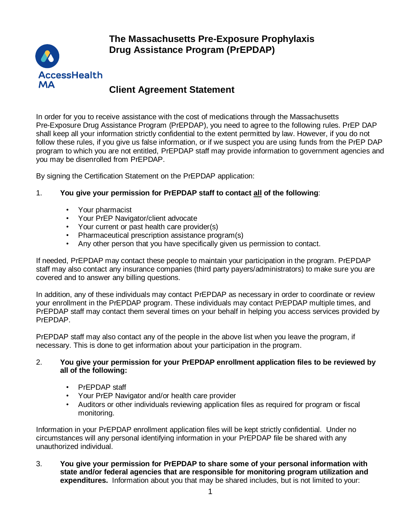**The Massachusetts Pre-Exposure Prophylaxis Drug Assistance Program (PrEPDAP)**



## **Client Agreement Statement**

In order for you to receive assistance with the cost of medications through the Massachusetts Pre-Exposure Drug Assistance Program (PrEPDAP), you need to agree to the following rules. PrEP DAP shall keep all your information strictly confidential to the extent permitted by law. However, if you do not follow these rules, if you give us false information, or if we suspect you are using funds from the PrEP DAP program to which you are not entitled, PrEPDAP staff may provide information to government agencies and you may be disenrolled from PrEPDAP.

By signing the Certification Statement on the PrEPDAP application:

## 1. **You give your permission for PrEPDAP staff to contact all of the following**:

- Your pharmacist
- Your PrEP Navigator/client advocate
- Your current or past health care provider(s)
- Pharmaceutical prescription assistance program(s)
- Any other person that you have specifically given us permission to contact.

If needed, PrEPDAP may contact these people to maintain your participation in the program. PrEPDAP staff may also contact any insurance companies (third party payers/administrators) to make sure you are covered and to answer any billing questions.

In addition, any of these individuals may contact PrEPDAP as necessary in order to coordinate or review your enrollment in the PrEPDAP program. These individuals may contact PrEPDAP multiple times, and PrEPDAP staff may contact them several times on your behalf in helping you access services provided by PrEPDAP.

PrEPDAP staff may also contact any of the people in the above list when you leave the program, if necessary. This is done to get information about your participation in the program.

## 2. **You give your permission for your PrEPDAP enrollment application files to be reviewed by all of the following:**

- PrEPDAP staff
- Your PrEP Navigator and/or health care provider
- Auditors or other individuals reviewing application files as required for program or fiscal monitoring.

Information in your PrEPDAP enrollment application files will be kept strictly confidential. Under no circumstances will any personal identifying information in your PrEPDAP file be shared with any unauthorized individual.

3. **You give your permission for PrEPDAP to share some of your personal information with state and/or federal agencies that are responsible for monitoring program utilization and expenditures.** Information about you that may be shared includes, but is not limited to your: